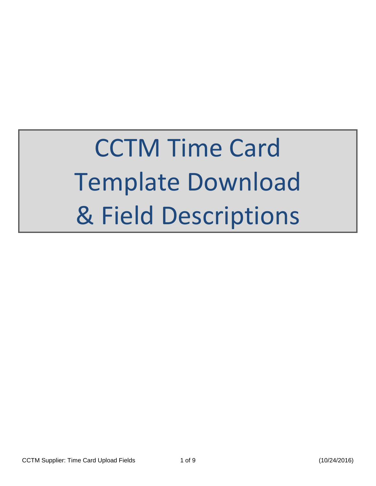CCTM Time Card Template Download & Field Descriptions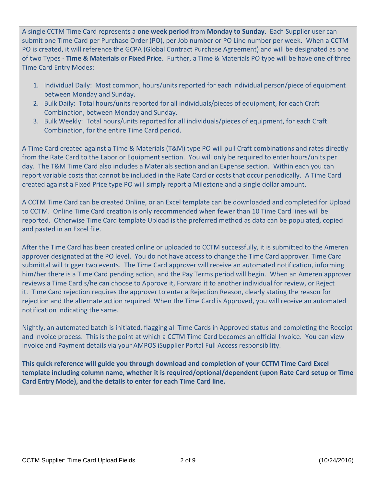A single CCTM Time Card represents a **one week period** from **Monday to Sunday**. Each Supplier user can submit one Time Card per Purchase Order (PO), per Job number or PO Line number per week. When a CCTM PO is created, it will reference the GCPA (Global Contract Purchase Agreement) and will be designated as one of two Types - **Time & Materials** or **Fixed Price**. Further, a Time & Materials PO type will be have one of three Time Card Entry Modes:

- 1. Individual Daily: Most common, hours/units reported for each individual person/piece of equipment between Monday and Sunday.
- 2. Bulk Daily: Total hours/units reported for all individuals/pieces of equipment, for each Craft Combination, between Monday and Sunday.
- 3. Bulk Weekly: Total hours/units reported for all individuals/pieces of equipment, for each Craft Combination, for the entire Time Card period.

A Time Card created against a Time & Materials (T&M) type PO will pull Craft combinations and rates directly from the Rate Card to the Labor or Equipment section. You will only be required to enter hours/units per day. The T&M Time Card also includes a Materials section and an Expense section. Within each you can report variable costs that cannot be included in the Rate Card or costs that occur periodically. A Time Card created against a Fixed Price type PO will simply report a Milestone and a single dollar amount.

A CCTM Time Card can be created Online, or an Excel template can be downloaded and completed for Upload to CCTM. Online Time Card creation is only recommended when fewer than 10 Time Card lines will be reported. Otherwise Time Card template Upload is the preferred method as data can be populated, copied and pasted in an Excel file.

After the Time Card has been created online or uploaded to CCTM successfully, it is submitted to the Ameren approver designated at the PO level. You do not have access to change the Time Card approver. Time Card submittal will trigger two events. The Time Card approver will receive an automated notification, informing him/her there is a Time Card pending action, and the Pay Terms period will begin. When an Ameren approver reviews a Time Card s/he can choose to Approve it, Forward it to another individual for review, or Reject it. Time Card rejection requires the approver to enter a Rejection Reason, clearly stating the reason for rejection and the alternate action required. When the Time Card is Approved, you will receive an automated notification indicating the same.

Nightly, an automated batch is initiated, flagging all Time Cards in Approved status and completing the Receipt and Invoice process. This is the point at which a CCTM Time Card becomes an official Invoice. You can view Invoice and Payment details via your AMPOS iSupplier Portal Full Access responsibility.

**This quick reference will guide you through download and completion of your CCTM Time Card Excel template including column name, whether it is required/optional/dependent (upon Rate Card setup or Time Card Entry Mode), and the details to enter for each Time Card line.**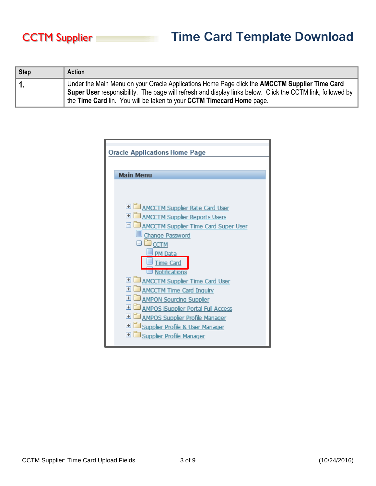## CCTM Supplier **Time Card Template Download**

| <b>Step</b> | <b>Action</b>                                                                                                                                                                                                                                                                        |
|-------------|--------------------------------------------------------------------------------------------------------------------------------------------------------------------------------------------------------------------------------------------------------------------------------------|
|             | Under the Main Menu on your Oracle Applications Home Page click the AMCCTM Supplier Time Card<br>Super User responsibility. The page will refresh and display links below. Click the CCTM link, followed by<br>the Time Card lin. You will be taken to your CCTM Timecard Home page. |

| <b>Oracle Applications Home Page</b>                      |  |  |  |  |  |
|-----------------------------------------------------------|--|--|--|--|--|
|                                                           |  |  |  |  |  |
| <b>Main Menu</b>                                          |  |  |  |  |  |
|                                                           |  |  |  |  |  |
|                                                           |  |  |  |  |  |
| AMCCTM Supplier Rate Card User                            |  |  |  |  |  |
| <b>ED AMCCTM Supplier Reports Users</b>                   |  |  |  |  |  |
| AMCCTM Supplier Time Card Super User                      |  |  |  |  |  |
| Change Password                                           |  |  |  |  |  |
| ∃□сстм                                                    |  |  |  |  |  |
| PM Data                                                   |  |  |  |  |  |
| <b>Time Card</b>                                          |  |  |  |  |  |
| Notifications<br><b>ED AMCCTM Supplier Time Card User</b> |  |  |  |  |  |
| <b>ED AMCCTM Time Card Inquiry</b>                        |  |  |  |  |  |
| <b>ED AMPON Sourcing Supplier</b>                         |  |  |  |  |  |
| AMPOS iSupplier Portal Full Access                        |  |  |  |  |  |
| AMPOS Supplier Profile Manager                            |  |  |  |  |  |
| Supplier Profile & User Manager                           |  |  |  |  |  |
| Supplier Profile Manager                                  |  |  |  |  |  |
|                                                           |  |  |  |  |  |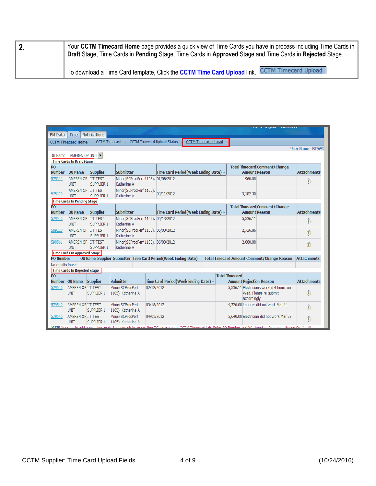| Your CCTM Timecard Home page provides a quick view of Time Cards you have in process including Time Cards in<br>Draft Stage, Time Cards in Pending Stage, Time Cards in Approved Stage and Time Cards in Rejected Stage. |
|--------------------------------------------------------------------------------------------------------------------------------------------------------------------------------------------------------------------------|
| <sup>1</sup> To download a Time Card template, Click the CCTM Time Card Upload link. CCTM Timecard Upload                                                                                                                |

|                      |                                       |                                     |                                                                       |                                      |                                      |                             |                                                                                  | TIONIC LUGULE FICICIONUCS                                                                                                                        |                    |
|----------------------|---------------------------------------|-------------------------------------|-----------------------------------------------------------------------|--------------------------------------|--------------------------------------|-----------------------------|----------------------------------------------------------------------------------|--------------------------------------------------------------------------------------------------------------------------------------------------|--------------------|
|                      | <b>PM Data</b>   Time   Notifications |                                     |                                                                       |                                      |                                      |                             |                                                                                  |                                                                                                                                                  |                    |
|                      | <b>CCTM Timecard Home</b>             |                                     | CCTM Timecard   CCTM Timecard Upload Status                           |                                      |                                      | <b>CCTM Timecard Upload</b> |                                                                                  |                                                                                                                                                  |                    |
|                      |                                       |                                     |                                                                       |                                      |                                      |                             |                                                                                  |                                                                                                                                                  | User Name E87693   |
| OU Name              | AMEREN OP UNIT                        |                                     |                                                                       |                                      |                                      |                             |                                                                                  |                                                                                                                                                  |                    |
|                      | <b>Time Cards In Draft Stage</b>      |                                     |                                                                       |                                      |                                      |                             |                                                                                  |                                                                                                                                                  |                    |
| P <sub>O</sub>       |                                       |                                     |                                                                       |                                      |                                      |                             |                                                                                  | <b>Total Timecard Comment/Change</b>                                                                                                             |                    |
| <b>Number</b>        | <b>OU Name</b>                        | <b>Supplier</b>                     | <b>Submitter</b>                                                      |                                      | Time Card Period(Week Ending Date) ▲ |                             |                                                                                  | <b>Amount Reason</b>                                                                                                                             | <b>Attachments</b> |
| 575311               | AMEREN OP<br><b>UNIT</b>              | <b>IT TEST</b><br><b>SUPPLIER 1</b> | Minor(SCProcPerf 1105), 01/08/2012<br>Katherine A                     |                                      |                                      |                             |                                                                                  | 960.00                                                                                                                                           | ⋔                  |
| 575310               | AMEREN OP IT TEST<br><b>UNIT</b>      | <b>SUPPLIER 1</b>                   | Minor(SCProcPerf 1105),<br>Katherine A                                | 03/11/2012                           |                                      |                             |                                                                                  | 3,182.30                                                                                                                                         |                    |
|                      | <b>Time Cards In Pending Stage</b>    |                                     |                                                                       |                                      |                                      |                             |                                                                                  |                                                                                                                                                  |                    |
| P <sub>O</sub>       |                                       |                                     |                                                                       |                                      |                                      |                             |                                                                                  | <b>Total Timecard Comment/Change</b>                                                                                                             |                    |
| <b>Number</b>        | <b>OU Name</b>                        | <b>Supplier</b>                     | <b>Submitter</b>                                                      |                                      | Time Card Period(Week Ending Date) △ |                             |                                                                                  | <b>Amount Reason</b>                                                                                                                             | <b>Attachments</b> |
| 579540               | AMEREN OP<br><b>UNIT</b>              | <b>IT TEST</b><br>SUPPLIER 1        | Minor(SCProcPerf 1105), 05/13/2012<br>Katherine A                     |                                      |                                      |                             |                                                                                  | 5,536.11                                                                                                                                         | ⋔                  |
| 589220               | AMEREN OP IT TEST<br><b>UNIT</b>      | <b>SUPPLIER 1</b>                   | Minor(SCProcPerf 1105), 06/03/2012<br>Katherine A                     |                                      |                                      |                             |                                                                                  | 2,736.86                                                                                                                                         | ⋔                  |
| 590561               | AMEREN OP IT TEST<br><b>UNIT</b>      | SUPPLIER 1                          | Minor(SCProcPerf 1105), 06/03/2012<br>Katherine A                     |                                      |                                      |                             |                                                                                  | 2,000.00                                                                                                                                         | ⋔                  |
|                      | <b>Time Cards In Approved Stage</b>   |                                     |                                                                       |                                      |                                      |                             |                                                                                  |                                                                                                                                                  |                    |
| <b>PO Number</b>     |                                       |                                     | <b>OU Name Supplier Submitter Time Card Period (Week Ending Date)</b> |                                      |                                      |                             |                                                                                  | <b>Total Timecard Amount Comment/Change Reason</b>                                                                                               | <b>Attachments</b> |
| No results found.    |                                       |                                     |                                                                       |                                      |                                      |                             |                                                                                  |                                                                                                                                                  |                    |
|                      | <b>Time Cards In Rejected Stage</b>   |                                     |                                                                       |                                      |                                      |                             |                                                                                  |                                                                                                                                                  |                    |
| P <sub>O</sub>       |                                       |                                     |                                                                       |                                      |                                      |                             | <b>Total Timecard</b>                                                            |                                                                                                                                                  |                    |
|                      | Number OU Name Supplier               |                                     | Submitter                                                             | Time Card Period(Week Ending Date) △ |                                      |                             |                                                                                  | <b>Amount Rejection Reason</b>                                                                                                                   | <b>Attachments</b> |
| 579540               | AMEREN OP IT TEST<br><b>UNIT</b>      | <b>SUPPLIER 1</b>                   | Minor(SCProcPerf<br>1105), Katherine A                                | 02/12/2012                           |                                      |                             | 5,536.11 Electricians worked 4 hours on<br>Wed. Please re-submit<br>accordingly. | ⋔                                                                                                                                                |                    |
| 579540               | AMEREN OP IT TEST<br><b>UNIT</b>      | <b>SUPPLIER 1</b>                   | Minor(SCProcPerf<br>1105), Katherine A                                | 03/18/2012                           |                                      |                             | 4,320.00 Laborer did not work Mar 14                                             | ⋔                                                                                                                                                |                    |
| 579540               | AMEREN OP IT TEST<br><b>UNIT</b>      | <b>SUPPLIER 1</b>                   | Minor(SCProcPerf<br>1105), Katherine A                                | 04/01/2012                           |                                      |                             |                                                                                  | 5,640.00 Electrician did not work Mar 28                                                                                                         | ⋔                  |
| $\mathcal{F}$ TTD In |                                       |                                     |                                                                       |                                      |                                      |                             |                                                                                  | order to add a new line against a new job to an ovisting TC please go to CCTM Timogard tab. Enter PO Number and Wookending Date and click on Co. | Thoughl            |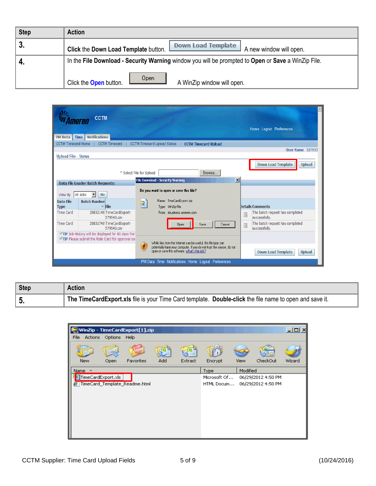| Step | <b>Action</b>                                                                                      |  |  |  |  |  |
|------|----------------------------------------------------------------------------------------------------|--|--|--|--|--|
| ╹3.  | Click the Down Load Template button. Down Load Template  <br>A new window will open.               |  |  |  |  |  |
| ╹4.  | In the File Download - Security Warning window you will be prompted to Open or Save a WinZip File. |  |  |  |  |  |
|      | $\sqrt{$ Open $\sqrt{ }$<br>Click the <b>Open</b> button.<br>A WinZip window will open.            |  |  |  |  |  |

| <b>CCTM</b><br><b>Notifications</b><br><b>PM Data</b><br><b>Time</b>                                  |                                                                                                                                                                                           | Home Logout Preferences                               |
|-------------------------------------------------------------------------------------------------------|-------------------------------------------------------------------------------------------------------------------------------------------------------------------------------------------|-------------------------------------------------------|
| CCTM Timecard Home<br>CCTM Timecard                                                                   | <b>CCTM Timecard Upload Status</b><br><b>CCTM Timecard Upload</b>                                                                                                                         |                                                       |
|                                                                                                       |                                                                                                                                                                                           | User Name E87693                                      |
| <b>Upload File - Status</b>                                                                           | * Select File for Upload<br>Browse                                                                                                                                                        | <b>Down Load Template</b><br><b>Upload</b>            |
| Data File Loader Batch Requests:                                                                      | $\vert x \vert$<br><b>File Download - Security Warning</b>                                                                                                                                |                                                       |
| View By All Jobs<br>G <sub>O</sub>                                                                    | Do you want to open or save this file?                                                                                                                                                    |                                                       |
| <b>Batch Number</b><br>Data File<br><b>File</b><br><b>Type</b>                                        | Name: TimeCardExport.zip<br>凰<br>Type: WinZip File                                                                                                                                        | <b>Details Comments</b>                               |
| 28832148 TimeCardExport-<br><b>Time Card</b><br>579540.csv                                            | From: ebusiness.ameren.com                                                                                                                                                                | The batch request has completed<br>画<br>successfully. |
| <b>Time Card</b><br>28831749 TimeCardExport-<br>579540.csv                                            | Cancel<br>Save<br><b>Open</b>                                                                                                                                                             | The batch request has completed<br>画<br>successfully. |
| TIP Job History will be displayed for 60 days from<br>TIP Please submit the Rate Card for approval on | While files from the Internet can be useful, this file type can<br>potentially harm your computer. If you do not trust the source, do not<br>open or save this software. What's the risk? | <b>Down Load Template</b><br><b>Upload</b>            |
|                                                                                                       | PM Data Time Notifications Home Logout Preferences                                                                                                                                        |                                                       |

| <b>Step</b> | <b>Action</b>                                                                                           |
|-------------|---------------------------------------------------------------------------------------------------------|
| -5.         | The TimeCardExport.xls file is your Time Card template. Double-click the file name to open and save it. |

|      |                |                    | WinZip - TimeCardExport[1].zip |     |         |              |          |                    | $   \mathbb{Z}$ $\times$ |
|------|----------------|--------------------|--------------------------------|-----|---------|--------------|----------|--------------------|--------------------------|
| File | <b>Actions</b> | Options            | Help                           |     |         |              |          |                    |                          |
|      |                |                    |                                |     |         |              |          |                    |                          |
|      | <b>New</b>     | Open.              | Favorites                      | Add | Extract | Encrypt      | View     | CheckOut           | Wizard                   |
| Name |                |                    |                                |     |         | Type         | Modified |                    |                          |
|      |                | TimeCardExport.xls |                                |     |         | Microsoft Of |          | 06/29/2012 4:50 PM |                          |
|      |                |                    | TimeCard_Template_Readme.html  |     |         | HTML Docum   |          | 06/29/2012 4:50 PM |                          |
|      |                |                    |                                |     |         |              |          |                    |                          |
|      |                |                    |                                |     |         |              |          |                    |                          |
|      |                |                    |                                |     |         |              |          |                    |                          |
|      |                |                    |                                |     |         |              |          |                    |                          |
|      |                |                    |                                |     |         |              |          |                    |                          |
|      |                |                    |                                |     |         |              |          |                    |                          |
|      |                |                    |                                |     |         |              |          |                    |                          |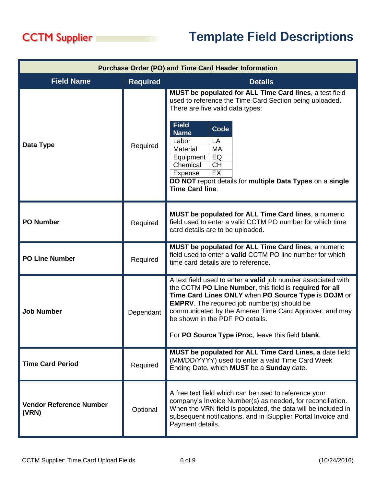| <b>Purchase Order (PO) and Time Card Header Information</b> |                 |                                                                                                                                                                                                                                                                                                                                                                                                  |  |  |  |  |
|-------------------------------------------------------------|-----------------|--------------------------------------------------------------------------------------------------------------------------------------------------------------------------------------------------------------------------------------------------------------------------------------------------------------------------------------------------------------------------------------------------|--|--|--|--|
| <b>Field Name</b>                                           | <b>Required</b> | <b>Details</b>                                                                                                                                                                                                                                                                                                                                                                                   |  |  |  |  |
| Data Type                                                   | Required        | MUST be populated for ALL Time Card lines, a test field<br>used to reference the Time Card Section being uploaded.<br>There are five valid data types:<br><b>Field</b><br>Code<br><b>Name</b><br>LA<br>Labor<br><b>MA</b><br><b>Material</b><br>Equipment<br>EQ<br>Chemical<br><b>CH</b><br>EX<br>Expense<br>DO NOT report details for multiple Data Types on a single<br><b>Time Card line.</b> |  |  |  |  |
| <b>PO Number</b>                                            | Required        | <b>MUST be populated for ALL Time Card lines, a numeric</b><br>field used to enter a valid CCTM PO number for which time<br>card details are to be uploaded.                                                                                                                                                                                                                                     |  |  |  |  |
| <b>PO Line Number</b>                                       | Required        | MUST be populated for ALL Time Card lines, a numeric<br>field used to enter a valid CCTM PO line number for which<br>time card details are to reference.                                                                                                                                                                                                                                         |  |  |  |  |
| <b>Job Number</b>                                           | Dependant       | A text field used to enter a valid job number associated with<br>the CCTM PO Line Number, this field is required for all<br>Time Card Lines ONLY when PO Source Type is DOJM or<br><b>EMPRV.</b> The required job number(s) should be<br>communicated by the Ameren Time Card Approver, and may<br>be shown in the PDF PO details.<br>For PO Source Type iProc, leave this field blank.          |  |  |  |  |
| <b>Time Card Period</b>                                     | Required        | MUST be populated for ALL Time Card Lines, a date field<br>(MM/DD/YYYY) used to enter a valid Time Card Week<br>Ending Date, which MUST be a Sunday date.                                                                                                                                                                                                                                        |  |  |  |  |
| <b>Vendor Reference Number</b><br>(VRN)                     | Optional        | A free text field which can be used to reference your<br>company's Invoice Number(s) as needed, for reconciliation.<br>When the VRN field is populated, the data will be included in<br>subsequent notifications, and in iSupplier Portal Invoice and<br>Payment details.                                                                                                                        |  |  |  |  |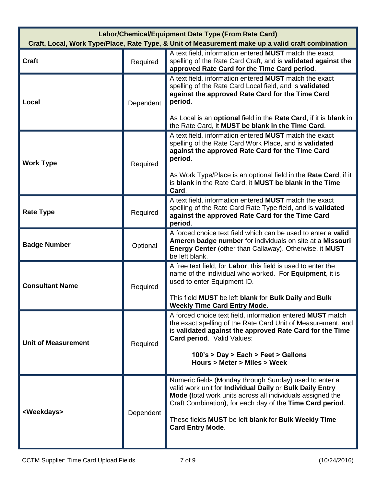| Labor/Chemical/Equipment Data Type (From Rate Card) |           |                                                                                                                                                                                                                                                                                                                                  |  |  |  |
|-----------------------------------------------------|-----------|----------------------------------------------------------------------------------------------------------------------------------------------------------------------------------------------------------------------------------------------------------------------------------------------------------------------------------|--|--|--|
|                                                     |           | Craft, Local, Work Type/Place, Rate Type, & Unit of Measurement make up a valid craft combination                                                                                                                                                                                                                                |  |  |  |
| <b>Craft</b>                                        | Required  | A text field, information entered MUST match the exact<br>spelling of the Rate Card Craft, and is validated against the<br>approved Rate Card for the Time Card period.                                                                                                                                                          |  |  |  |
| Local                                               | Dependent | A text field, information entered MUST match the exact<br>spelling of the Rate Card Local field, and is validated<br>against the approved Rate Card for the Time Card<br>period.<br>As Local is an optional field in the Rate Card, if it is blank in<br>the Rate Card, it MUST be blank in the Time Card.                       |  |  |  |
| <b>Work Type</b>                                    | Required  | A text field, information entered <b>MUST</b> match the exact<br>spelling of the Rate Card Work Place, and is validated<br>against the approved Rate Card for the Time Card<br>period.<br>As Work Type/Place is an optional field in the Rate Card, if it<br>is blank in the Rate Card, it MUST be blank in the Time<br>Card.    |  |  |  |
| <b>Rate Type</b>                                    | Required  | A text field, information entered <b>MUST</b> match the exact<br>spelling of the Rate Card Rate Type field, and is validated<br>against the approved Rate Card for the Time Card<br>period.                                                                                                                                      |  |  |  |
| <b>Badge Number</b>                                 | Optional  | A forced choice text field which can be used to enter a valid<br>Ameren badge number for individuals on site at a Missouri<br>Energy Center (other than Callaway). Otherwise, it MUST<br>be left blank.                                                                                                                          |  |  |  |
| <b>Consultant Name</b>                              | Required  | A free text field, for Labor, this field is used to enter the<br>name of the individual who worked. For Equipment, it is<br>used to enter Equipment ID.<br>This field MUST be left blank for Bulk Daily and Bulk<br><b>Weekly Time Card Entry Mode.</b>                                                                          |  |  |  |
| <b>Unit of Measurement</b>                          | Required  | A forced choice text field, information entered MUST match<br>the exact spelling of the Rate Card Unit of Measurement, and<br>is validated against the approved Rate Card for the Time<br>Card period. Valid Values:<br>100's > Day > Each > Feet > Gallons<br>Hours > Meter > Miles > Week                                      |  |  |  |
| <weekdays></weekdays>                               | Dependent | Numeric fields (Monday through Sunday) used to enter a<br>valid work unit for Individual Daily or Bulk Daily Entry<br>Mode (total work units across all individuals assigned the<br>Craft Combination), for each day of the Time Card period.<br>These fields MUST be left blank for Bulk Weekly Time<br><b>Card Entry Mode.</b> |  |  |  |